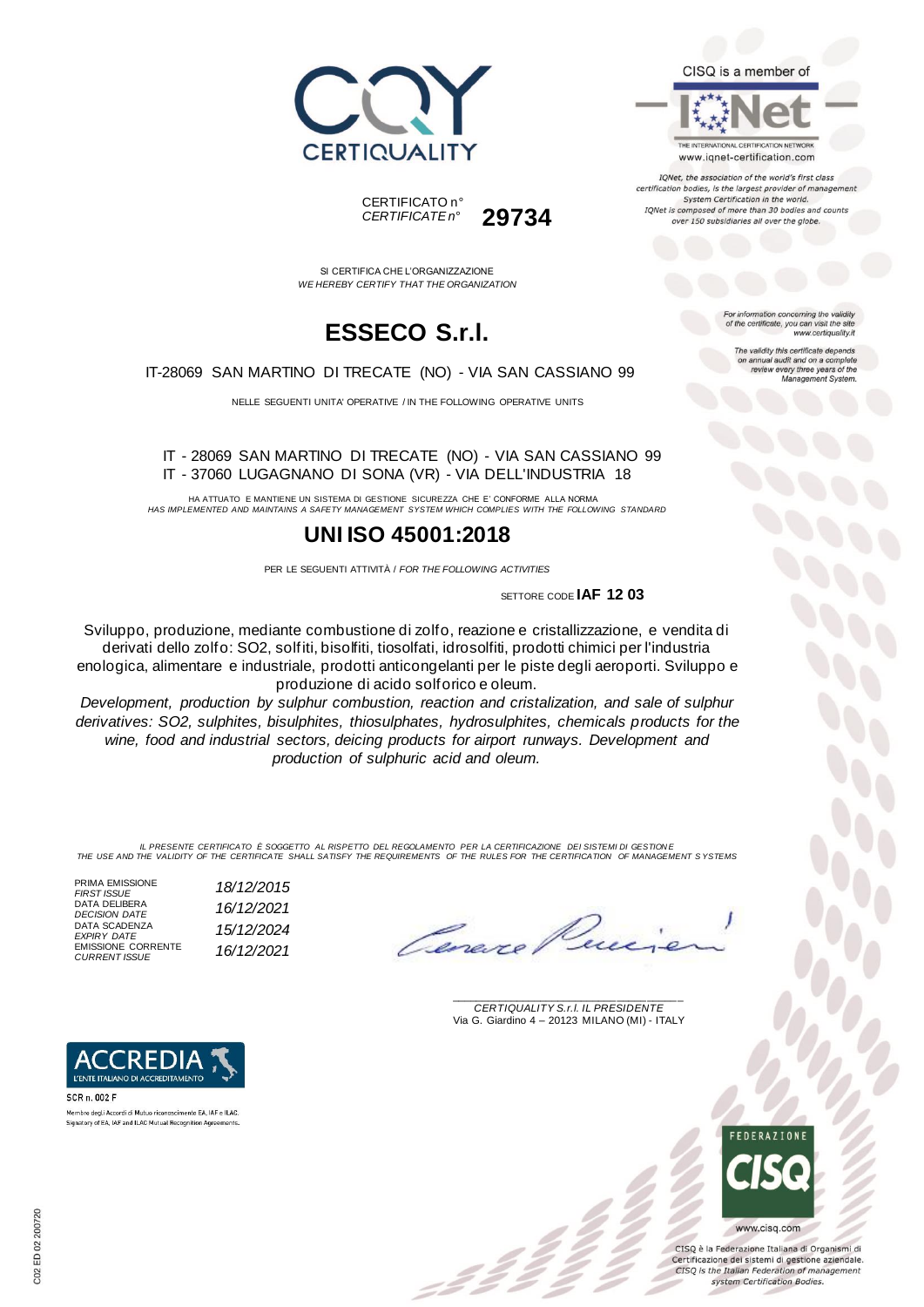





IQNet, the association of the world's first class certification bodies, is the largest provider of managen System Certification in the world. IQNet is composed of more than 30 bodies and counts over 150 subsidiaries all over the globe.

> tion concerning the validity of the certificate, you can visit the sit

The validity this certificate depends on annual audit and on a complete<br>review every three years of the<br>Management System.

www.certiquality.it

SI CERTIFICA CHE L'ORGANIZZAZIONE *WE HEREBY CERTIFY THAT THE ORGANIZATION*

CERTIFICATO n°

*CERTIFICATE n°* **29734**

## **ESSECO S.r.l.**

IT-28069 SAN MARTINO DI TRECATE (NO) - VIA SAN CASSIANO 99

NELLE SEGUENTI UNITA' OPERATIVE / IN THE FOLLOWING OPERATIVE UNITS

IT - 28069 SAN MARTINO DI TRECATE (NO) - VIA SAN CASSIANO 99 IT - 37060 LUGAGNANO DI SONA (VR) - VIA DELL'INDUSTRIA 18

HA ATTUATO E MANTIENE UN SISTEMA DI GESTIONE SICUREZZA CHE E' CONFORME ALLA NORMA *HAS IMPLEMENTED AND MAINTAINS A SAFETY MANAGEMENT SYSTEM WHICH COMPLIES WITH THE FOLLOWING STANDARD*

### **UNI ISO 45001:2018**

PER LE SEGUENTI ATTIVITÀ / *FOR THE FOLLOWING ACTIVITIES*

SETTORE CODE **IAF 12 03**

Sviluppo, produzione, mediante combustione di zolfo, reazione e cristallizzazione, e vendita di derivati dello zolfo: SO2, solfiti, bisolfiti, tiosolfati, idrosolfiti, prodotti chimici per l'industria enologica, alimentare e industriale, prodotti anticongelanti per le piste degli aeroporti. Sviluppo e produzione di acido solforico e oleum.

*Development, production by sulphur combustion, reaction and cristalization, and sale of sulphur derivatives: SO2, sulphites, bisulphites, thiosulphates, hydrosulphites, chemicals products for the wine, food and industrial sectors, deicing products for airport runways. Development and production of sulphuric acid and oleum.*

IL PRESENTE CERTIFICATO E SOGGETTO AL RISPETTO DEL REGOLAMENTO PER LA CERTIFICAZIONE DEI SISTEMI DI GESTIONE<br>THE USE AND THE VALIDITY OF THE CERTIFICATE SHALL SATISFY THE REQUIREMENTS OF THE RULES FOR THE CERTIFICATION OF

| PRIMA EMISSIONE                       | 18/12/2015 |
|---------------------------------------|------------|
| <b>FIRST ISSUE</b>                    |            |
| DATA DELIBERA                         | 16/12/2021 |
| <b>DECISION DATE</b><br>DATA SCADENZA |            |
| <b>EXPIRY DATE</b>                    | 15/12/2024 |
| <b>EMISSIONE CORRENTE</b>             |            |
| <b>CURRENT ISSUE</b>                  | 16/12/2021 |
|                                       |            |



SCR n. 002 F Membro degli Accordi di Mutuo riconoscimento EA, IAF e ILAC Signatory of EA, IAF and ILAC Mutual Recognition Ag

\_\_\_\_\_\_\_\_\_\_\_\_\_\_\_\_\_\_\_\_\_\_\_\_\_\_\_\_\_\_\_\_\_\_\_\_\_\_\_ *CERTIQUALITY S.r.l. IL PRESIDENTE* Via G. Giardino 4 – 20123 MILANO (MI) - ITALY



CISO è la Federazione Italiana di Organismi di Certificazione dei sistemi di gestione aziendale. CISQ is the Italian Federation of management system Certification Bodies.